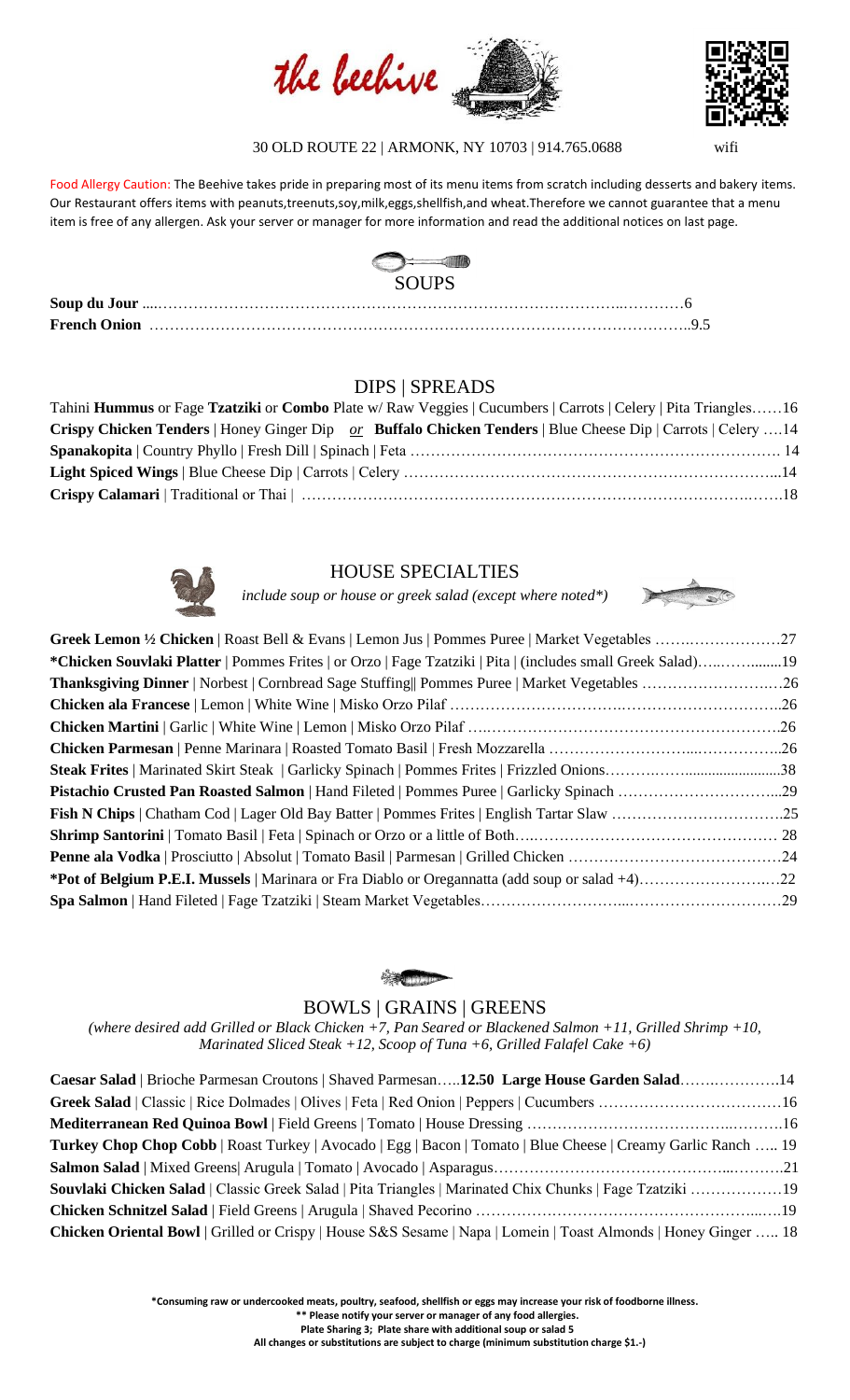



30 OLD ROUTE 22 | ARMONK, NY 10703 | 914.765.0688 wifi

Food Allergy Caution: The Beehive takes pride in preparing most of its menu items from scratch including desserts and bakery items. Our Restaurant offers items with peanuts,treenuts,soy,milk,eggs,shellfish,and wheat.Therefore we cannot guarantee that a menu item is free of any allergen. Ask your server or manager for more information and read the additional notices on last page.



# DIPS | SPREADS

| Tahini Hummus or Fage Tzatziki or Combo Plate w/Raw Veggies   Cucumbers   Carrots   Celery   Pita Triangles16 |  |
|---------------------------------------------------------------------------------------------------------------|--|
| Crispy Chicken Tenders   Honey Ginger Dip or Buffalo Chicken Tenders   Blue Cheese Dip   Carrots   Celery 14  |  |
|                                                                                                               |  |
|                                                                                                               |  |
|                                                                                                               |  |



# HOUSE SPECIALTIES

*include soup or house or greek salad (except where noted\*)*



| <b>*Chicken Souvlaki Platter</b>   Pommes Frites   or Orzo   Fage Tzatziki   Pita   (includes small Greek Salad)19 |  |
|--------------------------------------------------------------------------------------------------------------------|--|
|                                                                                                                    |  |
|                                                                                                                    |  |
|                                                                                                                    |  |
|                                                                                                                    |  |
|                                                                                                                    |  |
|                                                                                                                    |  |
|                                                                                                                    |  |
|                                                                                                                    |  |
|                                                                                                                    |  |
|                                                                                                                    |  |
|                                                                                                                    |  |
|                                                                                                                    |  |



# BOWLS | GRAINS | GREENS

*(where desired add Grilled or Black Chicken +7, Pan Seared or Blackened Salmon +11, Grilled Shrimp +10, Marinated Sliced Steak +12, Scoop of Tuna +6, Grilled Falafel Cake +6)*

| Caesar Salad   Brioche Parmesan Croutons   Shaved Parmesan12.50 Large House Garden Salad14                           |  |
|----------------------------------------------------------------------------------------------------------------------|--|
|                                                                                                                      |  |
|                                                                                                                      |  |
| <b>Turkey Chop Chop Cobb</b>   Roast Turkey   Avocado   Egg   Bacon   Tomato   Blue Cheese   Creamy Garlic Ranch  19 |  |
|                                                                                                                      |  |
| Souvlaki Chicken Salad   Classic Greek Salad   Pita Triangles   Marinated Chix Chunks   Fage Tzatziki 19             |  |
|                                                                                                                      |  |
| Chicken Oriental Bowl   Grilled or Crispy   House S&S Sesame   Napa   Lomein   Toast Almonds   Honey Ginger  18      |  |